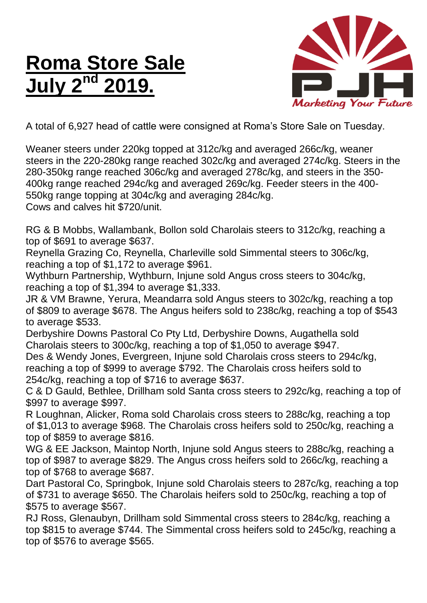## **Roma Store Sale July 2 nd 2019.**



A total of 6,927 head of cattle were consigned at Roma's Store Sale on Tuesday.

Weaner steers under 220kg topped at 312c/kg and averaged 266c/kg, weaner steers in the 220-280kg range reached 302c/kg and averaged 274c/kg. Steers in the 280-350kg range reached 306c/kg and averaged 278c/kg, and steers in the 350- 400kg range reached 294c/kg and averaged 269c/kg. Feeder steers in the 400- 550kg range topping at 304c/kg and averaging 284c/kg. Cows and calves hit \$720/unit.

RG & B Mobbs, Wallambank, Bollon sold Charolais steers to 312c/kg, reaching a top of \$691 to average \$637.

Reynella Grazing Co, Reynella, Charleville sold Simmental steers to 306c/kg, reaching a top of \$1,172 to average \$961.

Wythburn Partnership, Wythburn, Injune sold Angus cross steers to 304c/kg, reaching a top of \$1,394 to average \$1,333.

JR & VM Brawne, Yerura, Meandarra sold Angus steers to 302c/kg, reaching a top of \$809 to average \$678. The Angus heifers sold to 238c/kg, reaching a top of \$543 to average \$533.

Derbyshire Downs Pastoral Co Pty Ltd, Derbyshire Downs, Augathella sold Charolais steers to 300c/kg, reaching a top of \$1,050 to average \$947.

Des & Wendy Jones, Evergreen, Injune sold Charolais cross steers to 294c/kg, reaching a top of \$999 to average \$792. The Charolais cross heifers sold to 254c/kg, reaching a top of \$716 to average \$637.

C & D Gauld, Bethlee, Drillham sold Santa cross steers to 292c/kg, reaching a top of \$997 to average \$997.

R Loughnan, Alicker, Roma sold Charolais cross steers to 288c/kg, reaching a top of \$1,013 to average \$968. The Charolais cross heifers sold to 250c/kg, reaching a top of \$859 to average \$816.

WG & EE Jackson, Maintop North, Injune sold Angus steers to 288c/kg, reaching a top of \$987 to average \$829. The Angus cross heifers sold to 266c/kg, reaching a top of \$768 to average \$687.

Dart Pastoral Co, Springbok, Injune sold Charolais steers to 287c/kg, reaching a top of \$731 to average \$650. The Charolais heifers sold to 250c/kg, reaching a top of \$575 to average \$567.

RJ Ross, Glenaubyn, Drillham sold Simmental cross steers to 284c/kg, reaching a top \$815 to average \$744. The Simmental cross heifers sold to 245c/kg, reaching a top of \$576 to average \$565.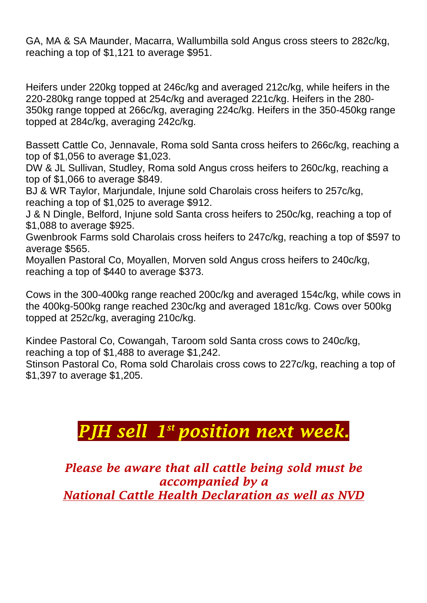GA, MA & SA Maunder, Macarra, Wallumbilla sold Angus cross steers to 282c/kg, reaching a top of \$1,121 to average \$951.

Heifers under 220kg topped at 246c/kg and averaged 212c/kg, while heifers in the 220-280kg range topped at 254c/kg and averaged 221c/kg. Heifers in the 280- 350kg range topped at 266c/kg, averaging 224c/kg. Heifers in the 350-450kg range topped at 284c/kg, averaging 242c/kg.

Bassett Cattle Co, Jennavale, Roma sold Santa cross heifers to 266c/kg, reaching a top of \$1,056 to average \$1,023.

DW & JL Sullivan, Studley, Roma sold Angus cross heifers to 260c/kg, reaching a top of \$1,066 to average \$849.

BJ & WR Taylor, Marjundale, Injune sold Charolais cross heifers to 257c/kg, reaching a top of \$1,025 to average \$912.

J & N Dingle, Belford, Injune sold Santa cross heifers to 250c/kg, reaching a top of \$1,088 to average \$925.

Gwenbrook Farms sold Charolais cross heifers to 247c/kg, reaching a top of \$597 to average \$565.

Moyallen Pastoral Co, Moyallen, Morven sold Angus cross heifers to 240c/kg, reaching a top of \$440 to average \$373.

Cows in the 300-400kg range reached 200c/kg and averaged 154c/kg, while cows in the 400kg-500kg range reached 230c/kg and averaged 181c/kg. Cows over 500kg topped at 252c/kg, averaging 210c/kg.

Kindee Pastoral Co, Cowangah, Taroom sold Santa cross cows to 240c/kg, reaching a top of \$1,488 to average \$1,242.

Stinson Pastoral Co, Roma sold Charolais cross cows to 227c/kg, reaching a top of \$1,397 to average \$1,205.

## *PJH sell 1 st position next week.*

*Please be aware that all cattle being sold must be accompanied by a National Cattle Health Declaration as well as NVD*